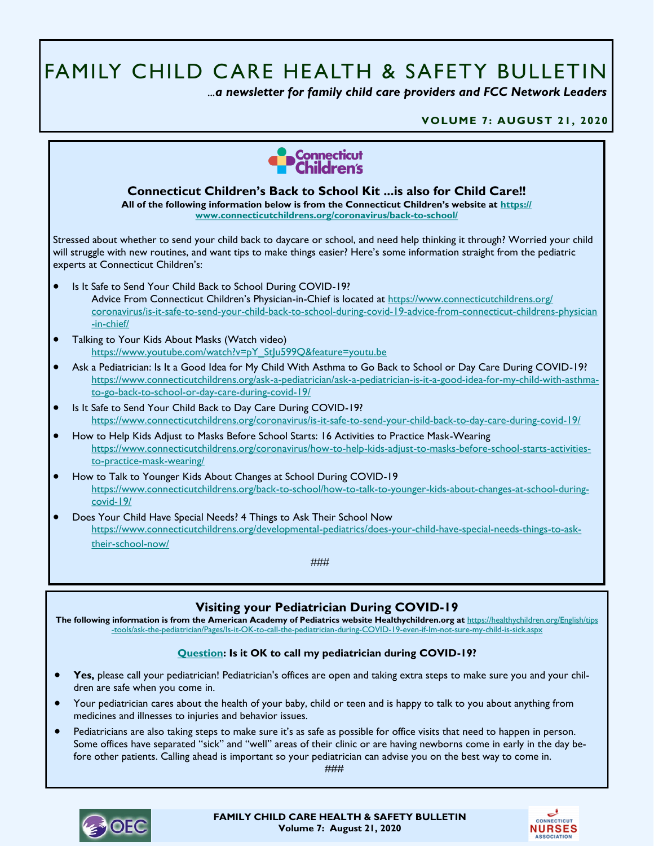# FAMILY CHILD CARE HEALTH & SAFETY BULLETIN

 *...a newsletter for family child care providers and FCC Network Leaders* 

**VOLUME 7: AUGUST 21, 2020**



**The following information is from the American Academy of Pediatrics website Healthychildren.org at** [https://healthychildren.org/English/tips](https://healthychildren.org/English/tips-tools/ask-the-pediatrician/Pages/Is-it-OK-to-call-the-pediatrician-during-COVID-19-even-if-Im-not-sure-my-child-is-sick.aspx) [-tools/ask-the-pediatrician/Pages/Is-it-OK-to-call-the-pediatrician-during-COVID-19-even-if-Im-not-sure-my-child-is-sick.aspx](https://healthychildren.org/English/tips-tools/ask-the-pediatrician/Pages/Is-it-OK-to-call-the-pediatrician-during-COVID-19-even-if-Im-not-sure-my-child-is-sick.aspx)

## **[Question:](https://healthychildren.org/English/tips-tools/ask-the-pediatrician/Pages/Is-it-OK-to-call-the-pediatrician-during-COVID-19-even-if-Im-not-sure-my-child-is-sick.aspx) Is it OK to call my pediatrician during COVID-19?**

- Yes, please call your pediatrician! Pediatrician's offices are open and taking extra steps to make sure you and your children are safe when you come in.
- Your pediatrician cares about the health of your baby, child or teen and is happy to talk to you about anything from medicines and illnesses to injuries and behavior issues.
- Pediatricians are also taking steps to make sure it's as safe as possible for office visits that need to happen in person. Some offices have separated "sick" and "well" areas of their clinic or are having newborns come in early in the day before other patients. Calling ahead is important so your pediatrician can advise you on the best way to come in.

###